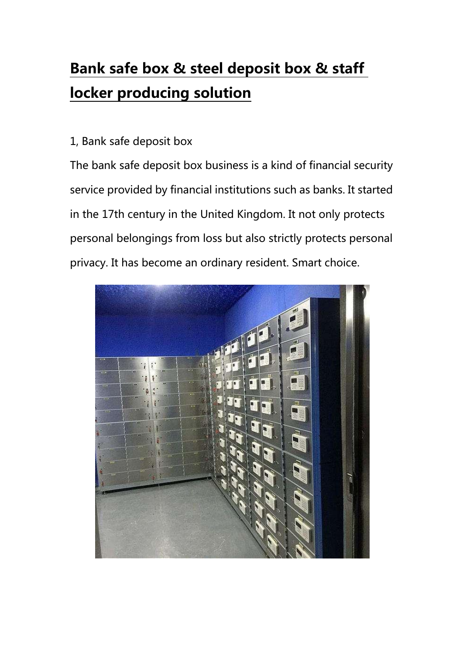## Bank safe box & steel deposit box & staff locker producing solution

## 1, Bank safe deposit box

The bank safe deposit box business is a kind of financial security service provided by financial institutions such as banks. It started in the 17th century in the United Kingdom. It not only protects personal belongings from loss but also strictly protects personal privacy. It has become an ordinary resident. Smart choice.

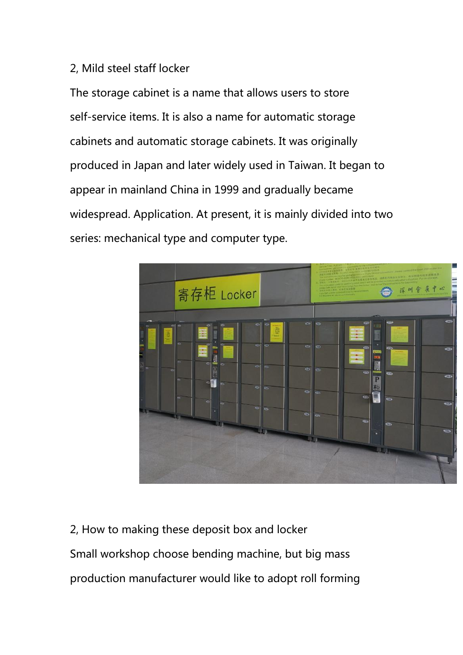## 2, Mild steel staff locker

The storage cabinet is a name that allows users to store self-service items. It is also a name for automatic storage cabinets and automatic storage cabinets. It was originally produced in Japan and later widely used in Taiwan. It began to appear in mainland China in 1999 and gradually became widespread. Application. At present, it is mainly divided into two series: mechanical type and computer type.



2, How to making these deposit box and locker Small workshop choose bending machine, but big mass production manufacturer would like to adopt roll forming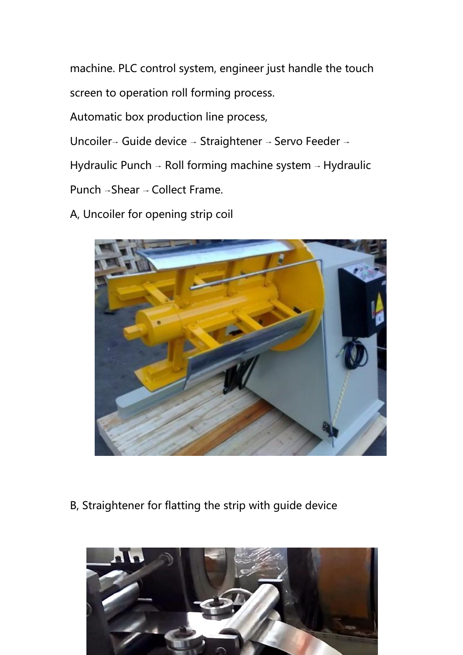machine. PLC control system, engineer just handle the touch screen to operation roll forming process.

Automatic box production line process,

Uncoiler<sup>→</sup> Guide device <sup>→</sup> Straightener <sup>→</sup> Servo Feeder <sup>→</sup>

Hydraulic Punch <sup>→</sup> Roll forming machine system <sup>→</sup> Hydraulic

Punch <sup>→</sup>Shear <sup>→</sup> Collect Frame.

A, Uncoiler for opening strip coil



B, Straightener for flatting the strip with guide device

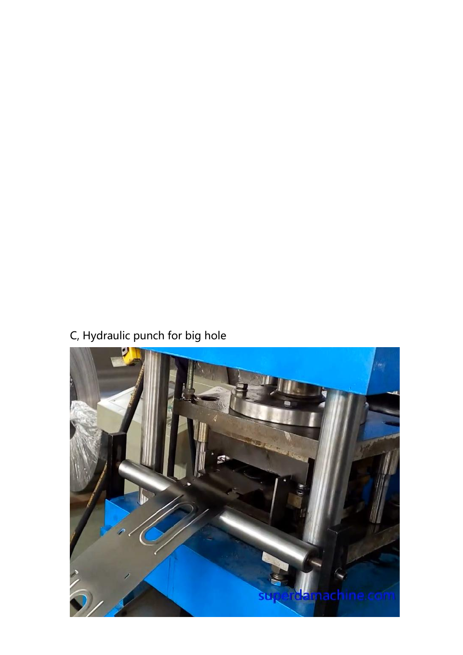## C, Hydraulic punch for big hole